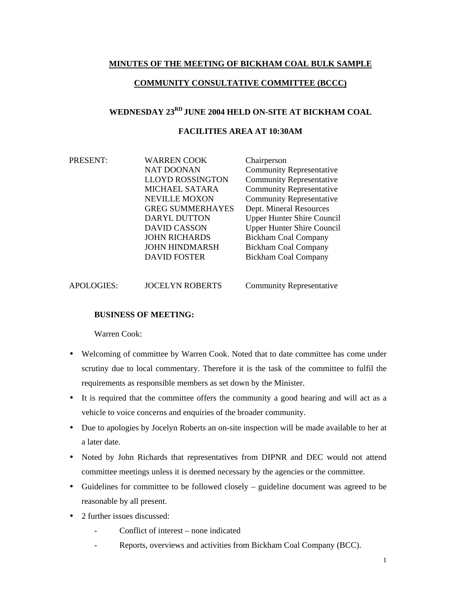## **MINUTES OF THE MEETING OF BICKHAM COAL BULK SAMPLE**

### **COMMUNITY CONSULTATIVE COMMITTEE (BCCC)**

# **WEDNESDAY 23RD JUNE 2004 HELD ON-SITE AT BICKHAM COAL**

### **FACILITIES AREA AT 10:30AM**

PRESENT: WARREN COOK Chairperson NAT DOONAN Community Representative LLOYD ROSSINGTON Community Representative MICHAEL SATARA Community Representative NEVILLE MOXON Community Representative GREG SUMMERHAYES Dept. Mineral Resources DARYL DUTTON Upper Hunter Shire Council DAVID CASSON Upper Hunter Shire Council JOHN RICHARDS Bickham Coal Company JOHN HINDMARSH Bickham Coal Company DAVID FOSTER Bickham Coal Company

| <b>APOLOGIES:</b> | <b>JOCELYN ROBERTS</b> | <b>Community Representative</b> |
|-------------------|------------------------|---------------------------------|
|                   |                        |                                 |

### **BUSINESS OF MEETING:**

Warren Cook:

- Welcoming of committee by Warren Cook. Noted that to date committee has come under scrutiny due to local commentary. Therefore it is the task of the committee to fulfil the requirements as responsible members as set down by the Minister.
- It is required that the committee offers the community a good hearing and will act as a vehicle to voice concerns and enquiries of the broader community.
- Due to apologies by Jocelyn Roberts an on-site inspection will be made available to her at a later date.
- Noted by John Richards that representatives from DIPNR and DEC would not attend committee meetings unless it is deemed necessary by the agencies or the committee.
- Guidelines for committee to be followed closely guideline document was agreed to be reasonable by all present.
- 2 further issues discussed:
	- Conflict of interest none indicated
	- Reports, overviews and activities from Bickham Coal Company (BCC).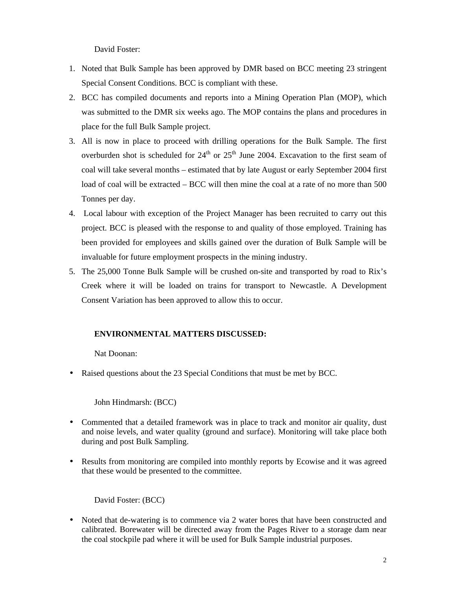David Foster:

- 1. Noted that Bulk Sample has been approved by DMR based on BCC meeting 23 stringent Special Consent Conditions. BCC is compliant with these.
- 2. BCC has compiled documents and reports into a Mining Operation Plan (MOP), which was submitted to the DMR six weeks ago. The MOP contains the plans and procedures in place for the full Bulk Sample project.
- 3. All is now in place to proceed with drilling operations for the Bulk Sample. The first overburden shot is scheduled for  $24<sup>th</sup>$  or  $25<sup>th</sup>$  June 2004. Excavation to the first seam of coal will take several months – estimated that by late August or early September 2004 first load of coal will be extracted – BCC will then mine the coal at a rate of no more than 500 Tonnes per day.
- 4. Local labour with exception of the Project Manager has been recruited to carry out this project. BCC is pleased with the response to and quality of those employed. Training has been provided for employees and skills gained over the duration of Bulk Sample will be invaluable for future employment prospects in the mining industry.
- 5. The 25,000 Tonne Bulk Sample will be crushed on-site and transported by road to Rix's Creek where it will be loaded on trains for transport to Newcastle. A Development Consent Variation has been approved to allow this to occur.

#### **ENVIRONMENTAL MATTERS DISCUSSED:**

Nat Doonan:

• Raised questions about the 23 Special Conditions that must be met by BCC.

John Hindmarsh: (BCC)

- Commented that a detailed framework was in place to track and monitor air quality, dust and noise levels, and water quality (ground and surface). Monitoring will take place both during and post Bulk Sampling.
- Results from monitoring are compiled into monthly reports by Ecowise and it was agreed that these would be presented to the committee.

David Foster: (BCC)

• Noted that de-watering is to commence via 2 water bores that have been constructed and calibrated. Borewater will be directed away from the Pages River to a storage dam near the coal stockpile pad where it will be used for Bulk Sample industrial purposes.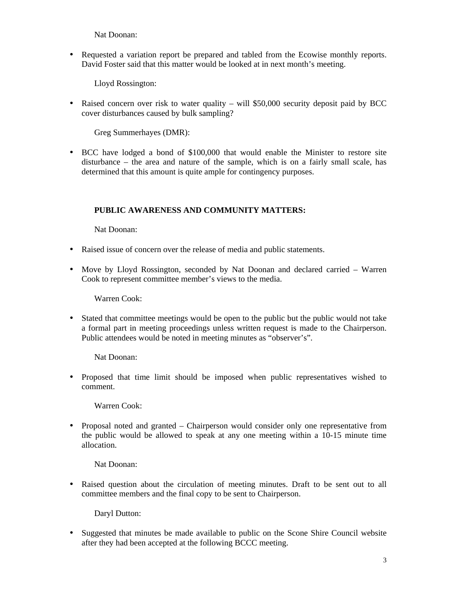Nat Doonan:

• Requested a variation report be prepared and tabled from the Ecowise monthly reports. David Foster said that this matter would be looked at in next month's meeting.

Lloyd Rossington:

• Raised concern over risk to water quality – will \$50,000 security deposit paid by BCC cover disturbances caused by bulk sampling?

Greg Summerhayes (DMR):

• BCC have lodged a bond of \$100,000 that would enable the Minister to restore site disturbance – the area and nature of the sample, which is on a fairly small scale, has determined that this amount is quite ample for contingency purposes.

### **PUBLIC AWARENESS AND COMMUNITY MATTERS:**

Nat Doonan:

- Raised issue of concern over the release of media and public statements.
- Move by Lloyd Rossington, seconded by Nat Doonan and declared carried Warren Cook to represent committee member's views to the media.

Warren Cook:

• Stated that committee meetings would be open to the public but the public would not take a formal part in meeting proceedings unless written request is made to the Chairperson. Public attendees would be noted in meeting minutes as "observer's".

Nat Doonan:

• Proposed that time limit should be imposed when public representatives wished to comment.

Warren Cook:

• Proposal noted and granted – Chairperson would consider only one representative from the public would be allowed to speak at any one meeting within a 10-15 minute time allocation.

Nat Doonan:

• Raised question about the circulation of meeting minutes. Draft to be sent out to all committee members and the final copy to be sent to Chairperson.

Daryl Dutton:

• Suggested that minutes be made available to public on the Scone Shire Council website after they had been accepted at the following BCCC meeting.